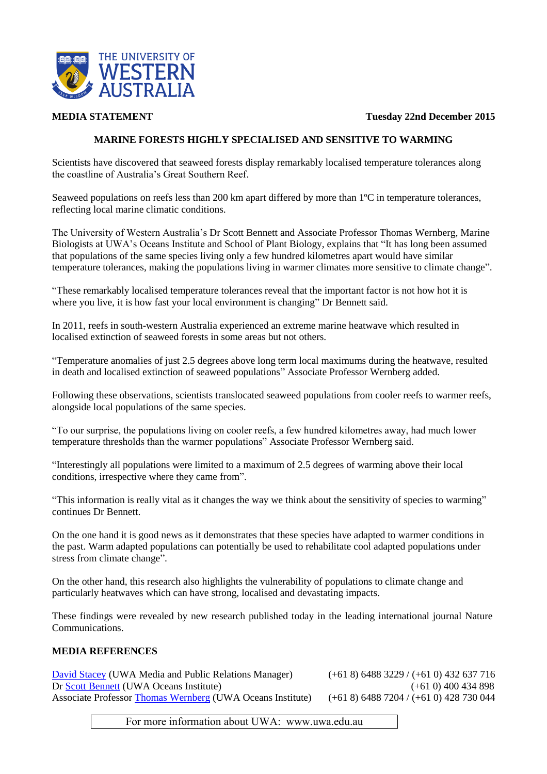

**MEDIA STATEMENT Tuesday 22nd December 2015**

## **MARINE FORESTS HIGHLY SPECIALISED AND SENSITIVE TO WARMING**

Scientists have discovered that seaweed forests display remarkably localised temperature tolerances along the coastline of Australia's Great Southern Reef.

Seaweed populations on reefs less than 200 km apart differed by more than 1ºC in temperature tolerances, reflecting local marine climatic conditions.

The University of Western Australia's Dr Scott Bennett and Associate Professor Thomas Wernberg, Marine Biologists at UWA's Oceans Institute and School of Plant Biology, explains that "It has long been assumed that populations of the same species living only a few hundred kilometres apart would have similar temperature tolerances, making the populations living in warmer climates more sensitive to climate change".

"These remarkably localised temperature tolerances reveal that the important factor is not how hot it is where you live, it is how fast your local environment is changing" Dr Bennett said.

In 2011, reefs in south-western Australia experienced an extreme marine heatwave which resulted in localised extinction of seaweed forests in some areas but not others.

"Temperature anomalies of just 2.5 degrees above long term local maximums during the heatwave, resulted in death and localised extinction of seaweed populations" Associate Professor Wernberg added.

Following these observations, scientists translocated seaweed populations from cooler reefs to warmer reefs, alongside local populations of the same species.

"To our surprise, the populations living on cooler reefs, a few hundred kilometres away, had much lower temperature thresholds than the warmer populations" Associate Professor Wernberg said.

"Interestingly all populations were limited to a maximum of 2.5 degrees of warming above their local conditions, irrespective where they came from".

"This information is really vital as it changes the way we think about the sensitivity of species to warming" continues Dr Bennett.

On the one hand it is good news as it demonstrates that these species have adapted to warmer conditions in the past. Warm adapted populations can potentially be used to rehabilitate cool adapted populations under stress from climate change".

On the other hand, this research also highlights the vulnerability of populations to climate change and particularly heatwaves which can have strong, localised and devastating impacts.

These findings were revealed by new research published today in the leading international journal Nature Communications.

## **MEDIA REFERENCES**

[David Stacey](http://www.uwa.edu.au/people/david.stacey) (UWA Media and Public Relations Manager) (+61 8) 6488 3229 / (+61 0) 432 637 716 Dr [Scott Bennett](http://wernberglab.org/current-staff-students-and-visitors/scott-bennett/) (UWA Oceans Institute) (+61 0) 400 434 898 Associate Professor [Thomas Wernberg](http://wernberglab.org/current-staff-students-and-visitors/thomas-wernberg/) (UWA Oceans Institute) (+61 8) 6488 7204 / (+61 0) 428 730 044

For more information about UWA: www.uwa.edu.au